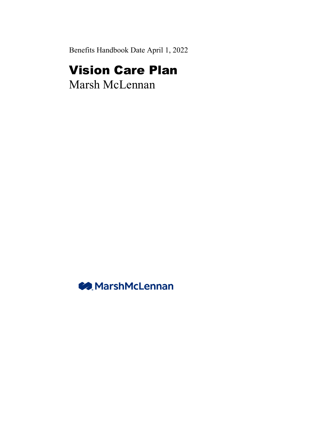Benefits Handbook Date April 1, 2022

# Vision Care Plan

Marsh McLennan

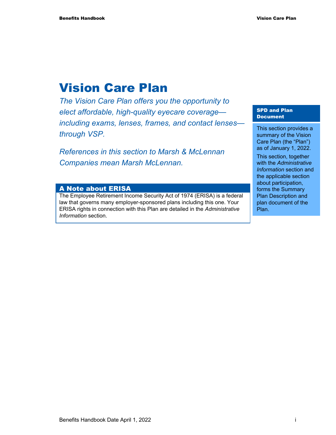# Vision Care Plan

*The Vision Care Plan offers you the opportunity to elect affordable, high-quality eyecare coverage including exams, lenses, frames, and contact lenses through VSP.* 

*References in this section to Marsh & McLennan Companies mean Marsh McLennan.* 

#### A Note about ERISA

The Employee Retirement Income Security Act of 1974 (ERISA) is a federal law that governs many employer-sponsored plans including this one. Your ERISA rights in connection with this Plan are detailed in the *Administrative Information* section.

#### SPD and Plan Document

This section provides a summary of the Vision Care Plan (the "Plan") as of January 1, 2022.

This section, together with the *Administrative Information* section and the applicable section about participation, forms the Summary Plan Description and plan document of the Plan.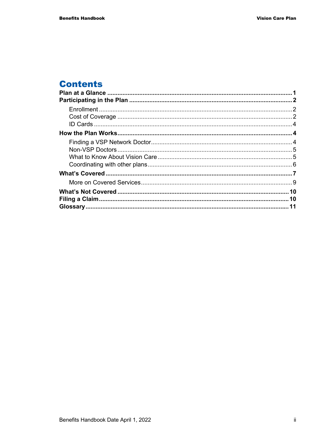# **Contents**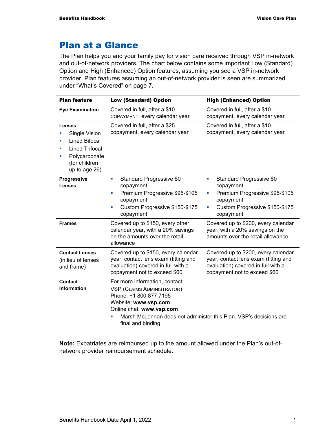# Plan at a Glance

The Plan helps you and your family pay for vision care received through VSP in-network and out-of-network providers. The chart below contains some important Low (Standard) Option and High (Enhanced) Option features, assuming you see a VSP in-network provider. Plan features assuming an out-of-network provider is seen are summarized under "What's Covered" on page 7.

| <b>Plan feature</b>                                                                                                       | <b>Low (Standard) Option</b>                                                                                                                                                                                        | <b>High (Enhanced) Option</b>                                                                                                                        |
|---------------------------------------------------------------------------------------------------------------------------|---------------------------------------------------------------------------------------------------------------------------------------------------------------------------------------------------------------------|------------------------------------------------------------------------------------------------------------------------------------------------------|
| <b>Eye Examination</b>                                                                                                    | Covered in full, after a \$10<br>COPAYMENT, every calendar year                                                                                                                                                     | Covered in full, after a \$10<br>copayment, every calendar year                                                                                      |
| Lenses<br>Single Vision<br>Lined Bifocal<br><b>Lined Trifocal</b><br>Polycarbonate<br>ш<br>(for children<br>up to age 26) | Covered in full, after a \$25<br>copayment, every calendar year                                                                                                                                                     | Covered in full, after a \$10<br>copayment, every calendar year                                                                                      |
| Progressive<br><b>Lenses</b>                                                                                              | Standard Progressive \$0<br>$\mathcal{L}_{\mathcal{A}}$<br>copayment<br>Premium Progressive \$95-\$105<br>$\blacksquare$<br>copayment<br>Custom Progressive \$150-\$175<br>$\mathcal{L}_{\mathcal{A}}$<br>copayment | Standard Progressive \$0<br>×<br>copayment<br>Premium Progressive \$95-\$105<br>L.<br>copayment<br>Custom Progressive \$150-\$175<br>×,<br>copayment |
| <b>Frames</b>                                                                                                             | Covered up to \$150, every other<br>calendar year, with a 20% savings<br>on the amounts over the retail<br>allowance                                                                                                | Covered up to \$200, every calendar<br>year, with a 20% savings on the<br>amounts over the retail allowance                                          |
| <b>Contact Lenses</b><br>(in lieu of lenses<br>and frame)                                                                 | Covered up to \$150, every calendar<br>year; contact lens exam (fitting and<br>evaluation) covered in full with a<br>copayment not to exceed \$60                                                                   | Covered up to \$200, every calendar<br>year, contact lens exam (fitting and<br>evaluation) covered in full with a<br>copayment not to exceed \$60    |
| Contact<br><b>Information</b>                                                                                             | For more information, contact:<br><b>VSP (CLAIMS ADMINISTRATOR)</b><br>Phone: +1 800 877 7195<br>Website: www.vsp.com<br>Online chat: www.vsp.com<br>final and binding.                                             | Marsh McLennan does not administer this Plan. VSP's decisions are                                                                                    |

**Note:** Expatriates are reimbursed up to the amount allowed under the Plan's out-ofnetwork provider reimbursement schedule.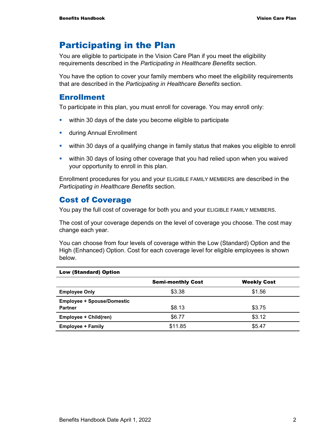# Participating in the Plan

You are eligible to participate in the Vision Care Plan if you meet the eligibility requirements described in the *Participating in Healthcare Benefits* section.

You have the option to cover your family members who meet the eligibility requirements that are described in the *Participating in Healthcare Benefits* section.

### Enrollment

To participate in this plan, you must enroll for coverage. You may enroll only:

- within 30 days of the date you become eligible to participate
- **u.** during Annual Enrollment
- within 30 days of a qualifying change in family status that makes you eligible to enroll
- within 30 days of losing other coverage that you had relied upon when you waived your opportunity to enroll in this plan.

Enrollment procedures for you and your ELIGIBLE FAMILY MEMBERS are described in the *Participating in Healthcare Benefits* section.

### Cost of Coverage

You pay the full cost of coverage for both you and your ELIGIBLE FAMILY MEMBERS.

The cost of your coverage depends on the level of coverage you choose. The cost may change each year.

You can choose from four levels of coverage within the Low (Standard) Option and the High (Enhanced) Option. Cost for each coverage level for eligible employees is shown below.

|                                                     | <b>Semi-monthly Cost</b> | <b>Weekly Cost</b> |  |
|-----------------------------------------------------|--------------------------|--------------------|--|
| <b>Employee Only</b>                                | \$3.38                   | \$1.56             |  |
| <b>Employee + Spouse/Domestic</b><br><b>Partner</b> | \$8.13                   | \$3.75             |  |
| Employee + Child(ren)                               | \$6.77                   | \$3.12             |  |
| <b>Employee + Family</b>                            | \$11.85                  | \$5.47             |  |

#### Low (Standard) Option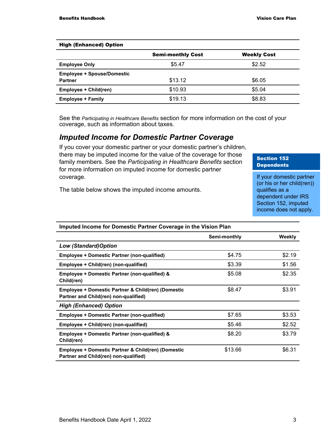| <b>High (Enhanced) Option</b>                       |                          |                    |
|-----------------------------------------------------|--------------------------|--------------------|
|                                                     | <b>Semi-monthly Cost</b> | <b>Weekly Cost</b> |
| <b>Employee Only</b>                                | \$5.47                   | \$2.52             |
| <b>Employee + Spouse/Domestic</b><br><b>Partner</b> | \$13.12                  | \$6.05             |
| Employee + Child(ren)                               | \$10.93                  | \$5.04             |
| <b>Employee + Family</b>                            | \$19.13                  | \$8.83             |

#### High (Enhanced) Option

See the *Participating in Healthcare Benefits* section for more information on the cost of your coverage, such as information about taxes.

#### *Imputed Income for Domestic Partner Coverage*

If you cover your domestic partner or your domestic partner's children, there may be imputed income for the value of the coverage for those family members. See the *Participating in Healthcare Benefits* section for more information on imputed income for domestic partner coverage.

#### Section 152 **Dependents**

If your domestic partner (or his or her child(ren)) qualifies as a dependent under IRS Section 152, imputed income does not apply.

#### The table below shows the imputed income amounts.

| <b>IMPUTED INTO THE TOT DUTTESTIC FRITTER COVERAGE IN THE VISION FRIM</b>                   |              |        |
|---------------------------------------------------------------------------------------------|--------------|--------|
|                                                                                             | Semi-monthly | Weekly |
| <b>Low (Standard)Option</b>                                                                 |              |        |
| <b>Employee + Domestic Partner (non-qualified)</b>                                          | \$4.75       | \$2.19 |
| Employee + Child(ren) (non-qualified)                                                       | \$3.39       | \$1.56 |
| Employee + Domestic Partner (non-qualified) &<br>Child(ren)                                 | \$5.08       | \$2.35 |
| Employee + Domestic Partner & Child(ren) (Domestic<br>Partner and Child(ren) non-qualified) | \$8.47       | \$3.91 |
| <b>High (Enhanced) Option</b>                                                               |              |        |
| <b>Employee + Domestic Partner (non-qualified)</b>                                          | \$7.65       | \$3.53 |
| Employee + Child(ren) (non-qualified)                                                       | \$5.46       | \$2.52 |
| Employee + Domestic Partner (non-qualified) &<br>Child(ren)                                 | \$8.20       | \$3.79 |
| Employee + Domestic Partner & Child(ren) (Domestic<br>Partner and Child(ren) non-qualified) | \$13.66      | \$6.31 |

#### **Imputed Income for Domestic Partner Coverage in the Vision Plan**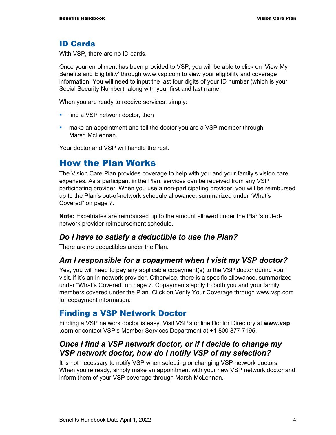#### ID Cards

With VSP, there are no ID cards.

Once your enrollment has been provided to VSP, you will be able to click on 'View My Benefits and Eligibility' through www.vsp.com to view your eligibility and coverage information. You will need to input the last four digits of your ID number (which is your Social Security Number), along with your first and last name.

When you are ready to receive services, simply:

- **find a VSP network doctor, then**
- **EXT** make an appointment and tell the doctor you are a VSP member through Marsh McLennan.

Your doctor and VSP will handle the rest.

# How the Plan Works

The Vision Care Plan provides coverage to help with you and your family's vision care expenses. As a participant in the Plan, services can be received from any VSP participating provider. When you use a non-participating provider, you will be reimbursed up to the Plan's out-of-network schedule allowance, summarized under "What's Covered" on page 7.

**Note:** Expatriates are reimbursed up to the amount allowed under the Plan's out-ofnetwork provider reimbursement schedule.

#### *Do I have to satisfy a deductible to use the Plan?*

There are no deductibles under the Plan.

### *Am I responsible for a copayment when I visit my VSP doctor?*

Yes, you will need to pay any applicable copayment(s) to the VSP doctor during your visit, if it's an in-network provider. Otherwise, there is a specific allowance, summarized under "What's Covered" on page 7. Copayments apply to both you and your family members covered under the Plan. Click on Verify Your Coverage through www.vsp.com for copayment information.

### Finding a VSP Network Doctor

Finding a VSP network doctor is easy. Visit VSP's online Doctor Directory at **www.vsp .com** or contact VSP's Member Services Department at +1 800 877 7195.

### *Once I find a VSP network doctor, or if I decide to change my VSP network doctor, how do I notify VSP of my selection?*

It is not necessary to notify VSP when selecting or changing VSP network doctors. When you're ready, simply make an appointment with your new VSP network doctor and inform them of your VSP coverage through Marsh McLennan.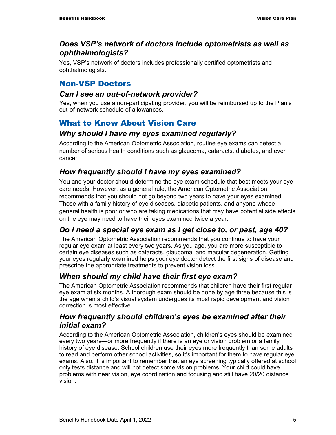### *Does VSP's network of doctors include optometrists as well as ophthalmologists?*

Yes, VSP's network of doctors includes professionally certified optometrists and ophthalmologists.

# Non-VSP Doctors

### *Can I see an out-of-network provider?*

Yes, when you use a non-participating provider, you will be reimbursed up to the Plan's out-of-network schedule of allowances.

# What to Know About Vision Care

### *Why should I have my eyes examined regularly?*

According to the American Optometric Association, routine eye exams can detect a number of serious health conditions such as glaucoma, cataracts, diabetes, and even cancer.

# *How frequently should I have my eyes examined?*

You and your doctor should determine the eye exam schedule that best meets your eye care needs. However, as a general rule, the American Optometric Association recommends that you should not go beyond two years to have your eyes examined. Those with a family history of eye diseases, diabetic patients, and anyone whose general health is poor or who are taking medications that may have potential side effects on the eye may need to have their eyes examined twice a year.

# *Do I need a special eye exam as I get close to, or past, age 40?*

The American Optometric Association recommends that you continue to have your regular eye exam at least every two years. As you age, you are more susceptible to certain eye diseases such as cataracts, glaucoma, and macular degeneration. Getting your eyes regularly examined helps your eye doctor detect the first signs of disease and prescribe the appropriate treatments to prevent vision loss.

# *When should my child have their first eye exam?*

The American Optometric Association recommends that children have their first regular eye exam at six months. A thorough exam should be done by age three because this is the age when a child's visual system undergoes its most rapid development and vision correction is most effective.

### *How frequently should children's eyes be examined after their initial exam?*

According to the American Optometric Association, children's eyes should be examined every two years—or more frequently if there is an eye or vision problem or a family history of eye disease. School children use their eyes more frequently than some adults to read and perform other school activities, so it's important for them to have regular eye exams. Also, it is important to remember that an eye screening typically offered at school only tests distance and will not detect some vision problems. Your child could have problems with near vision, eye coordination and focusing and still have 20/20 distance vision.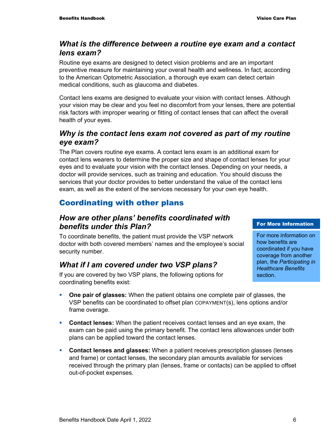### *What is the difference between a routine eye exam and a contact lens exam?*

Routine eye exams are designed to detect vision problems and are an important preventive measure for maintaining your overall health and wellness. In fact, according to the American Optometric Association, a thorough eye exam can detect certain medical conditions, such as glaucoma and diabetes.

Contact lens exams are designed to evaluate your vision with contact lenses. Although your vision may be clear and you feel no discomfort from your lenses, there are potential risk factors with improper wearing or fitting of contact lenses that can affect the overall health of your eyes.

### *Why is the contact lens exam not covered as part of my routine eye exam?*

The Plan covers routine eye exams. A contact lens exam is an additional exam for contact lens wearers to determine the proper size and shape of contact lenses for your eyes and to evaluate your vision with the contact lenses. Depending on your needs, a doctor will provide services, such as training and education. You should discuss the services that your doctor provides to better understand the value of the contact lens exam, as well as the extent of the services necessary for your own eye health.

# Coordinating with other plans

### *How are other plans' benefits coordinated with benefits under this Plan?*

To coordinate benefits, the patient must provide the VSP network doctor with both covered members' names and the employee's social security number.

# *What if I am covered under two VSP plans?*

If you are covered by two VSP plans, the following options for coordinating benefits exist:

#### **One pair of glasses:** When the patient obtains one complete pair of glasses, the VSP benefits can be coordinated to offset plan COPAYMENT(s), lens options and/or frame overage.

- **Contact lenses:** When the patient receives contact lenses and an eye exam, the exam can be paid using the primary benefit. The contact lens allowances under both plans can be applied toward the contact lenses.
- **Contact lenses and glasses:** When a patient receives prescription glasses (lenses and frame) or contact lenses, the secondary plan amounts available for services received through the primary plan (lenses, frame or contacts) can be applied to offset out-of-pocket expenses.

#### For More Information

For more information on how benefits are coordinated if you have coverage from another plan, the *Participating in Healthcare Benefits* section.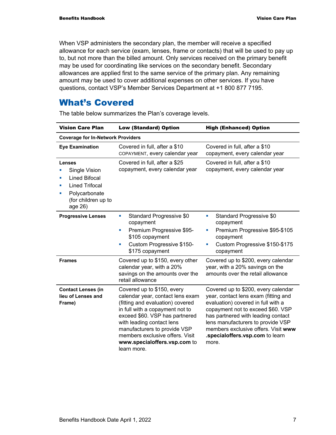When VSP administers the secondary plan, the member will receive a specified allowance for each service (exam, lenses, frame or contacts) that will be used to pay up to, but not more than the billed amount. Only services received on the primary benefit may be used for coordinating like services on the secondary benefit. Secondary allowances are applied first to the same service of the primary plan. Any remaining amount may be used to cover additional expenses on other services. If you have questions, contact VSP's Member Services Department at +1 800 877 7195.

# What's Covered

| <b>Vision Care Plan</b>                                                                                                                                    | <b>Low (Standard) Option</b>                                                                                                                                                                                                                                                                                           | <b>High (Enhanced) Option</b>                                                                                                                                                                                                                                                                                        |
|------------------------------------------------------------------------------------------------------------------------------------------------------------|------------------------------------------------------------------------------------------------------------------------------------------------------------------------------------------------------------------------------------------------------------------------------------------------------------------------|----------------------------------------------------------------------------------------------------------------------------------------------------------------------------------------------------------------------------------------------------------------------------------------------------------------------|
| <b>Coverage for In-Network Providers</b>                                                                                                                   |                                                                                                                                                                                                                                                                                                                        |                                                                                                                                                                                                                                                                                                                      |
| <b>Eye Examination</b>                                                                                                                                     | Covered in full, after a \$10<br>COPAYMENT, every calendar year                                                                                                                                                                                                                                                        | Covered in full, after a \$10<br>copayment, every calendar year                                                                                                                                                                                                                                                      |
| Lenses<br>Single Vision<br><b>Lined Bifocal</b><br>$\mathcal{L}_{\mathcal{A}}$<br><b>Lined Trifocal</b><br>Polycarbonate<br>(for children up to<br>age 26) | Covered in full, after a \$25<br>copayment, every calendar year                                                                                                                                                                                                                                                        | Covered in full, after a \$10<br>copayment, every calendar year                                                                                                                                                                                                                                                      |
| <b>Progressive Lenses</b>                                                                                                                                  | Standard Progressive \$0<br>u,<br>copayment<br>Premium Progressive \$95-<br>×<br>\$105 copayment<br>Custom Progressive \$150-<br>ш<br>\$175 copayment                                                                                                                                                                  | Standard Progressive \$0<br>L.<br>copayment<br>Premium Progressive \$95-\$105<br>×,<br>copayment<br>Custom Progressive \$150-\$175<br>copayment                                                                                                                                                                      |
| <b>Frames</b>                                                                                                                                              | Covered up to \$150, every other<br>calendar year, with a 20%<br>savings on the amounts over the<br>retail allowance                                                                                                                                                                                                   | Covered up to \$200, every calendar<br>year, with a 20% savings on the<br>amounts over the retail allowance                                                                                                                                                                                                          |
| <b>Contact Lenses (in</b><br>lieu of Lenses and<br>Frame)                                                                                                  | Covered up to \$150, every<br>calendar year, contact lens exam<br>(fitting and evaluation) covered<br>in full with a copayment not to<br>exceed \$60. VSP has partnered<br>with leading contact lens<br>manufacturers to provide VSP<br>members exclusive offers. Visit<br>www.specialoffers.vsp.com to<br>learn more. | Covered up to \$200, every calendar<br>year, contact lens exam (fitting and<br>evaluation) covered in full with a<br>copayment not to exceed \$60. VSP<br>has partnered with leading contact<br>lens manufacturers to provide VSP<br>members exclusive offers. Visit www<br>.specialoffers.vsp.com to learn<br>more. |

The table below summarizes the Plan's coverage levels.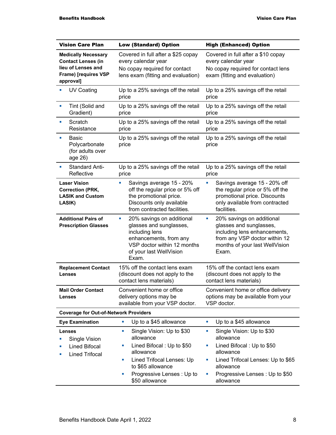| <b>Vision Care Plan</b>                                                                                            | <b>Low (Standard) Option</b>                                                                                                                                                                            | <b>High (Enhanced) Option</b>                                                                                                                                                                         |
|--------------------------------------------------------------------------------------------------------------------|---------------------------------------------------------------------------------------------------------------------------------------------------------------------------------------------------------|-------------------------------------------------------------------------------------------------------------------------------------------------------------------------------------------------------|
| <b>Medically Necessary</b><br><b>Contact Lenses (in</b><br>lieu of Lenses and<br>Frame) [requires VSP<br>approval] | Covered in full after a \$25 copay<br>every calendar year<br>No copay required for contact<br>lens exam (fitting and evaluation)                                                                        | Covered in full after a \$10 copay<br>every calendar year<br>No copay required for contact lens<br>exam (fitting and evaluation)                                                                      |
| <b>UV Coating</b>                                                                                                  | Up to a 25% savings off the retail<br>price                                                                                                                                                             | Up to a 25% savings off the retail<br>price                                                                                                                                                           |
| Tint (Solid and<br>ш<br>Gradient)                                                                                  | Up to a 25% savings off the retail<br>price                                                                                                                                                             | Up to a 25% savings off the retail<br>price                                                                                                                                                           |
| Scratch<br>×<br>Resistance                                                                                         | Up to a 25% savings off the retail<br>price                                                                                                                                                             | Up to a 25% savings off the retail<br>price                                                                                                                                                           |
| <b>Basic</b><br>$\blacksquare$<br>Polycarbonate<br>(for adults over<br>age 26)                                     | Up to a 25% savings off the retail<br>price                                                                                                                                                             | Up to a 25% savings off the retail<br>price                                                                                                                                                           |
| <b>Standard Anti-</b><br>ш<br>Reflective                                                                           | Up to a 25% savings off the retail<br>price                                                                                                                                                             | Up to a 25% savings off the retail<br>price                                                                                                                                                           |
| <b>Laser Vision</b><br><b>Correction (PRK,</b><br><b>LASIK and Custom</b><br>LASIK)                                | Savings average 15 - 20%<br>u,<br>off the regular price or 5% off<br>the promotional price.<br>Discounts only available<br>from contracted facilities.                                                  | L.<br>Savings average 15 - 20% off<br>the regular price or 5% off the<br>promotional price. Discounts<br>only available from contracted<br>facilities.                                                |
| <b>Additional Pairs of</b><br><b>Prescription Glasses</b>                                                          | 20% savings on additional<br>ш<br>glasses and sunglasses,<br>including lens<br>enhancements, from any<br>VSP doctor within 12 months<br>of your last WellVision<br>Exam.                                | 20% savings on additional<br>ш<br>glasses and sunglasses,<br>including lens enhancements,<br>from any VSP doctor within 12<br>months of your last WellVision<br>Exam.                                 |
| <b>Replacement Contact</b><br><b>Lenses</b>                                                                        | 15% off the contact lens exam<br>(discount does not apply to the<br>contact lens materials)                                                                                                             | 15% off the contact lens exam<br>(discount does not apply to the<br>contact lens materials)                                                                                                           |
| <b>Mail Order Contact</b><br><b>Lenses</b>                                                                         | Convenient home or office<br>delivery options may be<br>available from your VSP doctor.                                                                                                                 | Convenient home or office delivery<br>options may be available from your<br>VSP doctor.                                                                                                               |
| <b>Coverage for Out-of-Network Providers</b>                                                                       |                                                                                                                                                                                                         |                                                                                                                                                                                                       |
| <b>Eye Examination</b>                                                                                             | Up to a \$45 allowance<br>ш                                                                                                                                                                             | Up to a \$45 allowance<br>ш                                                                                                                                                                           |
| Lenses<br>Single Vision<br><b>Lined Bifocal</b><br><b>Lined Trifocal</b>                                           | Single Vision: Up to \$30<br>u,<br>allowance<br>Lined Bifocal: Up to \$50<br>ш<br>allowance<br>Lined Trifocal Lenses: Up<br>a,<br>to \$65 allowance<br>Progressive Lenses: Up to<br>×<br>\$50 allowance | Single Vision: Up to \$30<br>ш<br>allowance<br>Lined Bifocal: Up to \$50<br>ш<br>allowance<br>Lined Trifocal Lenses: Up to \$65<br>ш<br>allowance<br>Progressive Lenses: Up to \$50<br>×<br>allowance |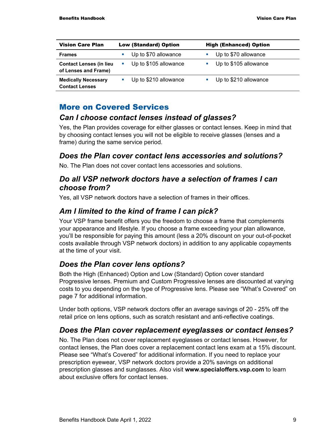| <b>Vision Care Plan</b>        | <b>Low (Standard) Option</b> | <b>High (Enhanced) Option</b> |
|--------------------------------|------------------------------|-------------------------------|
| <b>Frames</b>                  | Up to \$70 allowance<br>a.   | Up to \$70 allowance          |
| <b>Contact Lenses (in lieu</b> | Up to \$105 allowance        | Up to \$105 allowance         |
| of Lenses and Frame)           | $\mathbf{r}$                 | ×                             |
| <b>Medically Necessary</b>     | Up to \$210 allowance        | Up to \$210 allowance         |
| <b>Contact Lenses</b>          | $\mathcal{L}_{\mathcal{A}}$  | ш                             |

#### More on Covered Services

#### *Can I choose contact lenses instead of glasses?*

Yes, the Plan provides coverage for either glasses or contact lenses. Keep in mind that by choosing contact lenses you will not be eligible to receive glasses (lenses and a frame) during the same service period.

#### *Does the Plan cover contact lens accessories and solutions?*

No. The Plan does not cover contact lens accessories and solutions.

#### *Do all VSP network doctors have a selection of frames I can choose from?*

Yes, all VSP network doctors have a selection of frames in their offices.

### *Am I limited to the kind of frame I can pick?*

Your VSP frame benefit offers you the freedom to choose a frame that complements your appearance and lifestyle. If you choose a frame exceeding your plan allowance, you'll be responsible for paying this amount (less a 20% discount on your out-of-pocket costs available through VSP network doctors) in addition to any applicable copayments at the time of your visit.

#### *Does the Plan cover lens options?*

Both the High (Enhanced) Option and Low (Standard) Option cover standard Progressive lenses. Premium and Custom Progressive lenses are discounted at varying costs to you depending on the type of Progressive lens. Please see "What's Covered" on page 7 for additional information.

Under both options, VSP network doctors offer an average savings of 20 - 25% off the retail price on lens options, such as scratch resistant and anti-reflective coatings.

#### *Does the Plan cover replacement eyeglasses or contact lenses?*

No. The Plan does not cover replacement eyeglasses or contact lenses. However, for contact lenses, the Plan does cover a replacement contact lens exam at a 15% discount. Please see "What's Covered" for additional information. If you need to replace your prescription eyewear, VSP network doctors provide a 20% savings on additional prescription glasses and sunglasses. Also visit **www.specialoffers.vsp.com** to learn about exclusive offers for contact lenses.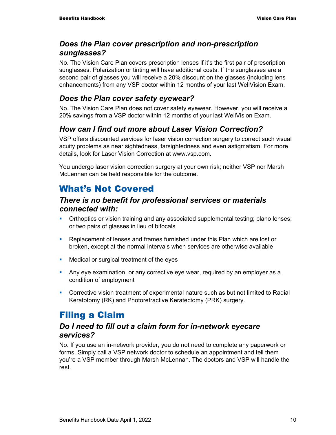### *Does the Plan cover prescription and non-prescription sunglasses?*

No. The Vision Care Plan covers prescription lenses if it's the first pair of prescription sunglasses. Polarization or tinting will have additional costs. If the sunglasses are a second pair of glasses you will receive a 20% discount on the glasses (including lens enhancements) from any VSP doctor within 12 months of your last WellVision Exam.

### *Does the Plan cover safety eyewear?*

No. The Vision Care Plan does not cover safety eyewear. However, you will receive a 20% savings from a VSP doctor within 12 months of your last WellVision Exam.

# *How can I find out more about Laser Vision Correction?*

VSP offers discounted services for laser vision correction surgery to correct such visual acuity problems as near sightedness, farsightedness and even astigmatism. For more details, look for Laser Vision Correction at www.vsp.com.

You undergo laser vision correction surgery at your own risk; neither VSP nor Marsh McLennan can be held responsible for the outcome.

# What's Not Covered

### *There is no benefit for professional services or materials connected with:*

- Orthoptics or vision training and any associated supplemental testing; plano lenses; or two pairs of glasses in lieu of bifocals
- **Replacement of lenses and frames furnished under this Plan which are lost or** broken, except at the normal intervals when services are otherwise available
- **Medical or surgical treatment of the eyes**
- Any eye examination, or any corrective eye wear, required by an employer as a condition of employment
- **Corrective vision treatment of experimental nature such as but not limited to Radial** Keratotomy (RK) and Photorefractive Keratectomy (PRK) surgery.

# Filing a Claim

### *Do I need to fill out a claim form for in-network eyecare services?*

No. If you use an in-network provider, you do not need to complete any paperwork or forms. Simply call a VSP network doctor to schedule an appointment and tell them you're a VSP member through Marsh McLennan. The doctors and VSP will handle the rest.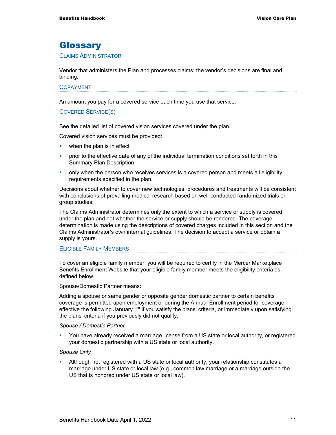# **Glossary**

#### CLAIMS ADMINISTRATOR

Vendor that administers the Plan and processes claims; the vendor's decisions are final and binding.

#### COPAYMENT

An amount you pay for a covered service each time you use that service.

#### COVERED SERVICE(S)

See the detailed list of covered vision services covered under the plan.

Covered vision services must be provided:

- **when the plan is in effect**
- **•** prior to the effective date of any of the individual termination conditions set forth in this Summary Plan Description
- only when the person who receives services is a covered person and meets all eligibility requirements specified in the plan.

Decisions about whether to cover new technologies, procedures and treatments will be consistent with conclusions of prevailing medical research based on well-conducted randomized trials or group studies.

The Claims Administrator determines only the extent to which a service or supply is covered under the plan and not whether the service or supply should be rendered. The coverage determination is made using the descriptions of covered charges included in this section and the Claims Administrator's own internal guidelines. The decision to accept a service or obtain a supply is yours.

#### ELIGIBLE FAMILY MEMBERS

To cover an eligible family member, you will be required to certify in the Mercer Marketplace Benefits Enrollment Website that your eligible family member meets the eligibility criteria as defined below.

Spouse/Domestic Partner means:

Adding a spouse or same gender or opposite gender domestic partner to certain benefits coverage is permitted upon employment or during the Annual Enrollment period for coverage effective the following January 1<sup>st</sup> if you satisfy the plans' criteria, or immediately upon satisfying the plans' criteria if you previously did not qualify.

#### *Spouse / Domestic Partner*

 You have already received a marriage license from a US state or local authority, or registered your domestic partnership with a US state or local authority.

#### *Spouse Only*

 Although not registered with a US state or local authority, your relationship constitutes a marriage under US state or local law (e.g., common law marriage or a marriage outside the US that is honored under US state or local law).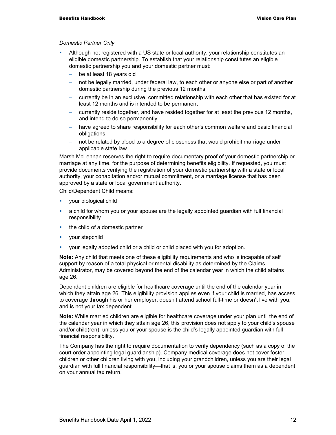#### *Domestic Partner Only*

- Although not registered with a US state or local authority, your relationship constitutes an eligible domestic partnership. To establish that your relationship constitutes an eligible domestic partnership you and your domestic partner must:
	- be at least 18 years old
	- − not be legally married, under federal law, to each other or anyone else or part of another domestic partnership during the previous 12 months
	- − currently be in an exclusive, committed relationship with each other that has existed for at least 12 months and is intended to be permanent
	- − currently reside together, and have resided together for at least the previous 12 months, and intend to do so permanently
	- have agreed to share responsibility for each other's common welfare and basic financial obligations
	- not be related by blood to a degree of closeness that would prohibit marriage under applicable state law.

Marsh McLennan reserves the right to require documentary proof of your domestic partnership or marriage at any time, for the purpose of determining benefits eligibility. If requested, you must provide documents verifying the registration of your domestic partnership with a state or local authority, your cohabitation and/or mutual commitment, or a marriage license that has been approved by a state or local government authority.

Child/Dependent Child means:

- **vour biological child**
- a child for whom you or your spouse are the legally appointed guardian with full financial responsibility
- the child of a domestic partner
- your stepchild
- your legally adopted child or a child or child placed with you for adoption.

**Note:** Any child that meets one of these eligibility requirements and who is incapable of self support by reason of a total physical or mental disability as determined by the Claims Administrator, may be covered beyond the end of the calendar year in which the child attains age 26.

Dependent children are eligible for healthcare coverage until the end of the calendar year in which they attain age 26. This eligibility provision applies even if your child is married, has access to coverage through his or her employer, doesn't attend school full-time or doesn't live with you, and is not your tax dependent.

**Note:** While married children are eligible for healthcare coverage under your plan until the end of the calendar year in which they attain age 26, this provision does not apply to your child's spouse and/or child(ren), unless you or your spouse is the child's legally appointed guardian with full financial responsibility.

The Company has the right to require documentation to verify dependency (such as a copy of the court order appointing legal guardianship). Company medical coverage does not cover foster children or other children living with you, including your grandchildren, unless you are their legal guardian with full financial responsibility—that is, you or your spouse claims them as a dependent on your annual tax return.